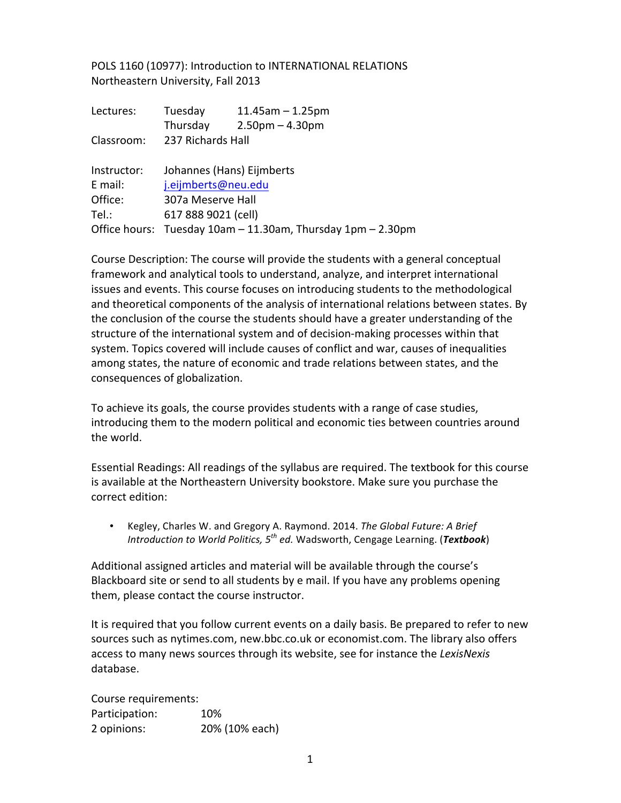POLS 1160 (10977): Introduction to INTERNATIONAL RELATIONS Northeastern University, Fall 2013

| Lectures:   | Tuesday                                                     | $11.45$ am $- 1.25$ pm |  |
|-------------|-------------------------------------------------------------|------------------------|--|
|             | Thursday                                                    | $2.50pm - 4.30pm$      |  |
| Classroom:  | 237 Richards Hall                                           |                        |  |
| Instructor: | Johannes (Hans) Eijmberts                                   |                        |  |
| E mail:     | j.eijmberts@neu.edu                                         |                        |  |
| Office:     | 307a Meserve Hall                                           |                        |  |
| Tel.:       | 617 888 9021 (cell)                                         |                        |  |
|             | Office hours: Tuesday 10am - 11.30am, Thursday 1pm - 2.30pm |                        |  |

Course Description: The course will provide the students with a general conceptual framework and analytical tools to understand, analyze, and interpret international issues and events. This course focuses on introducing students to the methodological and theoretical components of the analysis of international relations between states. By the conclusion of the course the students should have a greater understanding of the structure of the international system and of decision-making processes within that system. Topics covered will include causes of conflict and war, causes of inequalities among states, the nature of economic and trade relations between states, and the consequences of globalization.

To achieve its goals, the course provides students with a range of case studies, introducing them to the modern political and economic ties between countries around the world.

Essential Readings: All readings of the syllabus are required. The textbook for this course is available at the Northeastern University bookstore. Make sure you purchase the correct edition:

• Kegley, Charles W. and Gregory A. Raymond. 2014. *The Global Future: A Brief Introduction to World Politics,*  $5^{th}$  *ed.* Wadsworth, Cengage Learning. (Textbook)

Additional assigned articles and material will be available through the course's Blackboard site or send to all students by e mail. If you have any problems opening them, please contact the course instructor.

It is required that you follow current events on a daily basis. Be prepared to refer to new sources such as nytimes.com, new.bbc.co.uk or economist.com. The library also offers access to many news sources through its website, see for instance the *LexisNexis* database.

Course requirements: Participation: 10% 2 opinions: 20% (10% each)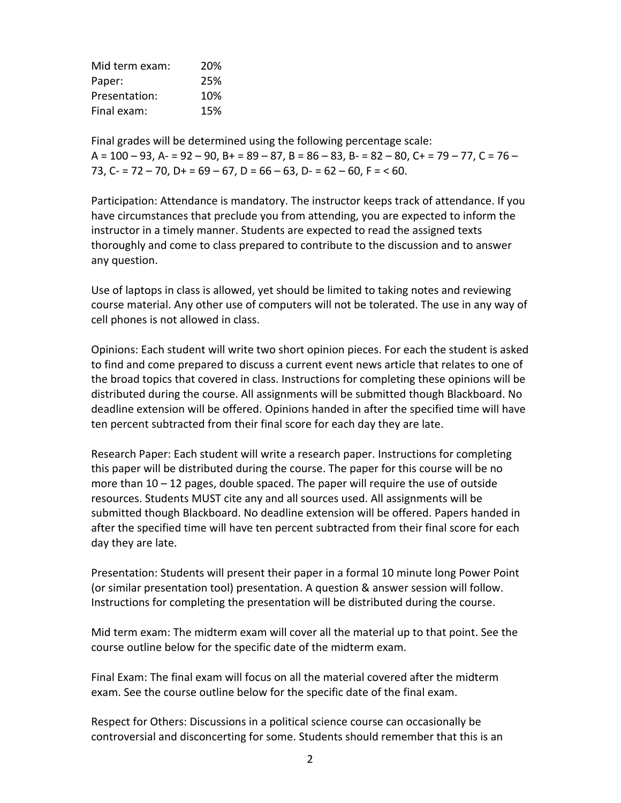| Mid term exam: | 20% |
|----------------|-----|
| Paper:         | 25% |
| Presentation:  | 10% |
| Final exam:    | 15% |

Final grades will be determined using the following percentage scale:  $A = 100 - 93$ ,  $A = 92 - 90$ ,  $B = 89 - 87$ ,  $B = 86 - 83$ ,  $B = 82 - 80$ ,  $C = 79 - 77$ ,  $C = 76 - 77$ 73, C- =  $72 - 70$ , D+ =  $69 - 67$ , D =  $66 - 63$ , D- =  $62 - 60$ , F = < 60.

Participation: Attendance is mandatory. The instructor keeps track of attendance. If you have circumstances that preclude you from attending, you are expected to inform the instructor in a timely manner. Students are expected to read the assigned texts thoroughly and come to class prepared to contribute to the discussion and to answer any question.

Use of laptops in class is allowed, yet should be limited to taking notes and reviewing course material. Any other use of computers will not be tolerated. The use in any way of cell phones is not allowed in class.

Opinions: Each student will write two short opinion pieces. For each the student is asked to find and come prepared to discuss a current event news article that relates to one of the broad topics that covered in class. Instructions for completing these opinions will be distributed during the course. All assignments will be submitted though Blackboard. No deadline extension will be offered. Opinions handed in after the specified time will have ten percent subtracted from their final score for each day they are late.

Research Paper: Each student will write a research paper. Instructions for completing this paper will be distributed during the course. The paper for this course will be no more than  $10 - 12$  pages, double spaced. The paper will require the use of outside resources. Students MUST cite any and all sources used. All assignments will be submitted though Blackboard. No deadline extension will be offered. Papers handed in after the specified time will have ten percent subtracted from their final score for each day they are late.

Presentation: Students will present their paper in a formal 10 minute long Power Point (or similar presentation tool) presentation. A question & answer session will follow. Instructions for completing the presentation will be distributed during the course.

Mid term exam: The midterm exam will cover all the material up to that point. See the course outline below for the specific date of the midterm exam.

Final Exam: The final exam will focus on all the material covered after the midterm exam. See the course outline below for the specific date of the final exam.

Respect for Others: Discussions in a political science course can occasionally be controversial and disconcerting for some. Students should remember that this is an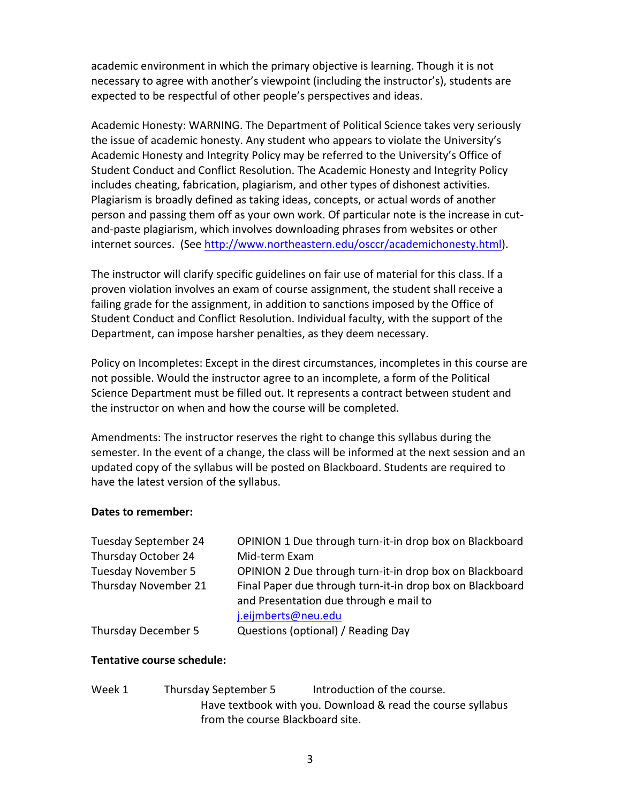academic environment in which the primary objective is learning. Though it is not necessary to agree with another's viewpoint (including the instructor's), students are expected to be respectful of other people's perspectives and ideas.

Academic Honesty: WARNING. The Department of Political Science takes very seriously the issue of academic honesty. Any student who appears to violate the University's Academic Honesty and Integrity Policy may be referred to the University's Office of Student Conduct and Conflict Resolution. The Academic Honesty and Integrity Policy includes cheating, fabrication, plagiarism, and other types of dishonest activities. Plagiarism is broadly defined as taking ideas, concepts, or actual words of another person and passing them off as your own work. Of particular note is the increase in cutand-paste plagiarism, which involves downloading phrases from websites or other internet sources. (See http://www.northeastern.edu/osccr/academichonesty.html).

The instructor will clarify specific guidelines on fair use of material for this class. If a proven violation involves an exam of course assignment, the student shall receive a failing grade for the assignment, in addition to sanctions imposed by the Office of Student Conduct and Conflict Resolution. Individual faculty, with the support of the Department, can impose harsher penalties, as they deem necessary.

Policy on Incompletes: Except in the direst circumstances, incompletes in this course are not possible. Would the instructor agree to an incomplete, a form of the Political Science Department must be filled out. It represents a contract between student and the instructor on when and how the course will be completed.

Amendments: The instructor reserves the right to change this syllabus during the semester. In the event of a change, the class will be informed at the next session and an updated copy of the syllabus will be posted on Blackboard. Students are required to have the latest version of the syllabus.

## Dates to remember:

| OPINION 1 Due through turn-it-in drop box on Blackboard   |
|-----------------------------------------------------------|
| Mid-term Exam                                             |
| OPINION 2 Due through turn-it-in drop box on Blackboard   |
| Final Paper due through turn-it-in drop box on Blackboard |
| and Presentation due through e mail to                    |
| j.eijmberts@neu.edu                                       |
| Questions (optional) / Reading Day                        |
|                                                           |

## **Tentative course schedule:**

Week 1 Thursday September 5 Introduction of the course. Have textbook with you. Download & read the course syllabus from the course Blackboard site.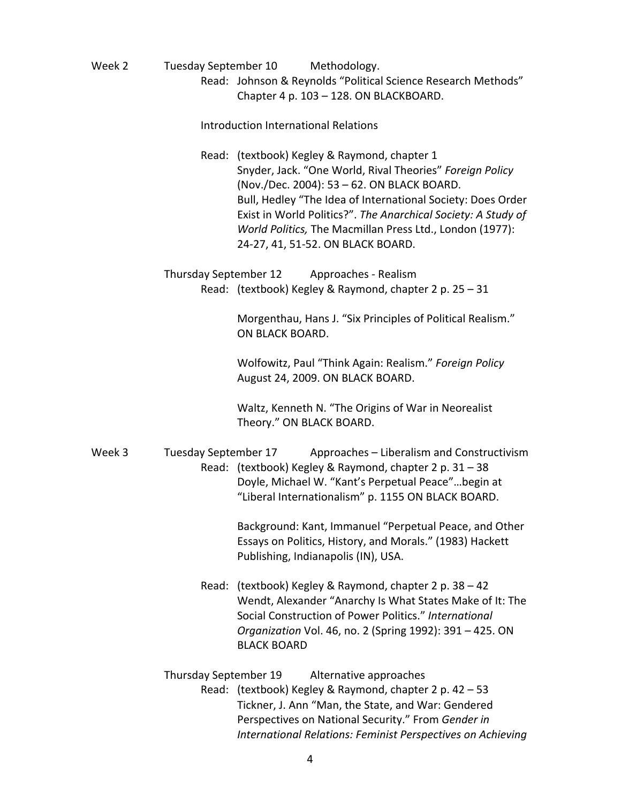Week 2 Tuesday September 10 Methodology. Read: Johnson & Reynolds "Political Science Research Methods" Chapter 4 p. 103 - 128. ON BLACKBOARD.

Introduction International Relations

Read: (textbook) Kegley & Raymond, chapter 1 Snyder, Jack. "One World, Rival Theories" Foreign Policy (Nov./Dec. 2004): 53 - 62. ON BLACK BOARD. Bull, Hedley "The Idea of International Society: Does Order Exist in World Politics?". The Anarchical Society: A Study of *World Politics,* The Macmillan Press Ltd., London (1977): 24-27, 41, 51-52. ON BLACK BOARD.

Thursday September 12 Approaches - Realism Read: (textbook) Kegley & Raymond, chapter 2 p. 25 – 31

> Morgenthau, Hans J. "Six Principles of Political Realism." ON BLACK BOARD.

Wolfowitz, Paul "Think Again: Realism." *Foreign Policy* August 24, 2009. ON BLACK BOARD.

Waltz, Kenneth N. "The Origins of War in Neorealist Theory." ON BLACK BOARD.

Week 3 Tuesday September 17 Approaches – Liberalism and Constructivism Read: (textbook) Kegley & Raymond, chapter 2 p.  $31 - 38$ Doyle, Michael W. "Kant's Perpetual Peace"...begin at "Liberal Internationalism" p. 1155 ON BLACK BOARD.

> Background: Kant, Immanuel "Perpetual Peace, and Other Essays on Politics, History, and Morals." (1983) Hackett Publishing, Indianapolis (IN), USA.

Read: (textbook) Kegley & Raymond, chapter 2 p. 38  $-$  42 Wendt, Alexander "Anarchy Is What States Make of It: The Social Construction of Power Politics." International *Organization* Vol. 46, no. 2 (Spring 1992): 391 - 425. ON **BLACK BOARD** 

Thursday September 19 Alternative approaches Read: (textbook) Kegley & Raymond, chapter 2 p. 42 – 53 Tickner, J. Ann "Man, the State, and War: Gendered Perspectives on National Security." From *Gender in International Relations: Feminist Perspectives on Achieving*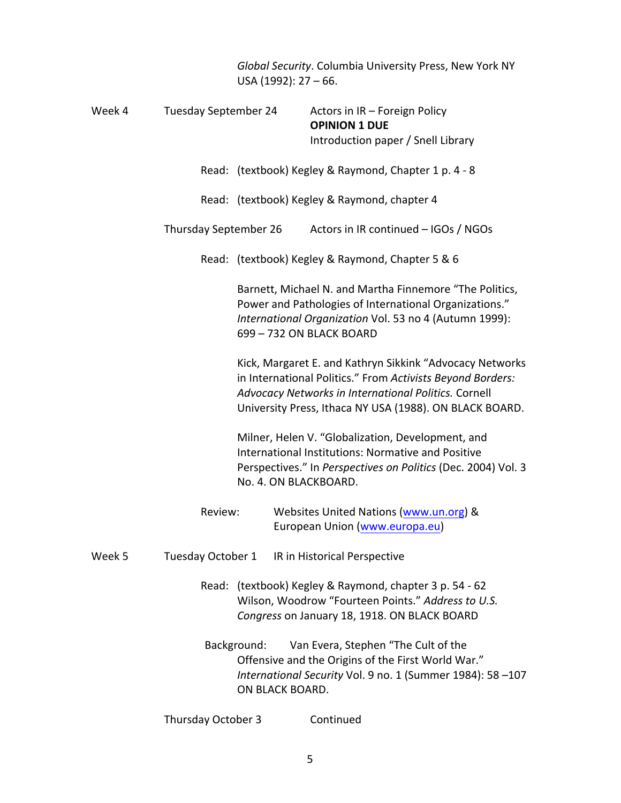|        |                             | USA (1992): $27 - 66$ .                                                                                                                                                                                 | Global Security. Columbia University Press, New York NY                                                                                                                                                                                   |
|--------|-----------------------------|---------------------------------------------------------------------------------------------------------------------------------------------------------------------------------------------------------|-------------------------------------------------------------------------------------------------------------------------------------------------------------------------------------------------------------------------------------------|
| Week 4 | <b>Tuesday September 24</b> |                                                                                                                                                                                                         | Actors in IR - Foreign Policy<br><b>OPINION 1 DUE</b><br>Introduction paper / Snell Library                                                                                                                                               |
|        |                             |                                                                                                                                                                                                         | Read: (textbook) Kegley & Raymond, Chapter 1 p. 4 - 8                                                                                                                                                                                     |
|        |                             |                                                                                                                                                                                                         | Read: (textbook) Kegley & Raymond, chapter 4                                                                                                                                                                                              |
|        | Thursday September 26       |                                                                                                                                                                                                         | Actors in IR continued - IGOs / NGOs                                                                                                                                                                                                      |
|        |                             |                                                                                                                                                                                                         | Read: (textbook) Kegley & Raymond, Chapter 5 & 6                                                                                                                                                                                          |
|        |                             | Barnett, Michael N. and Martha Finnemore "The Politics,<br>Power and Pathologies of International Organizations."<br>International Organization Vol. 53 no 4 (Autumn 1999):<br>699 - 732 ON BLACK BOARD |                                                                                                                                                                                                                                           |
|        |                             |                                                                                                                                                                                                         | Kick, Margaret E. and Kathryn Sikkink "Advocacy Networks<br>in International Politics." From Activists Beyond Borders:<br>Advocacy Networks in International Politics. Cornell<br>University Press, Ithaca NY USA (1988). ON BLACK BOARD. |
|        |                             | No. 4. ON BLACKBOARD.                                                                                                                                                                                   | Milner, Helen V. "Globalization, Development, and<br>International Institutions: Normative and Positive<br>Perspectives." In Perspectives on Politics (Dec. 2004) Vol. 3                                                                  |
|        | Review:                     |                                                                                                                                                                                                         | Websites United Nations (www.un.org) &<br>European Union (www.europa.eu)                                                                                                                                                                  |
| Week 5 | Tuesday October 1           |                                                                                                                                                                                                         | IR in Historical Perspective                                                                                                                                                                                                              |
|        |                             |                                                                                                                                                                                                         | Read: (textbook) Kegley & Raymond, chapter 3 p. 54 - 62<br>Wilson, Woodrow "Fourteen Points." Address to U.S.<br>Congress on January 18, 1918. ON BLACK BOARD                                                                             |
|        |                             | Background:<br>ON BLACK BOARD.                                                                                                                                                                          | Van Evera, Stephen "The Cult of the<br>Offensive and the Origins of the First World War."<br>International Security Vol. 9 no. 1 (Summer 1984): 58-107                                                                                    |
|        | Thursday October 3          |                                                                                                                                                                                                         | Continued                                                                                                                                                                                                                                 |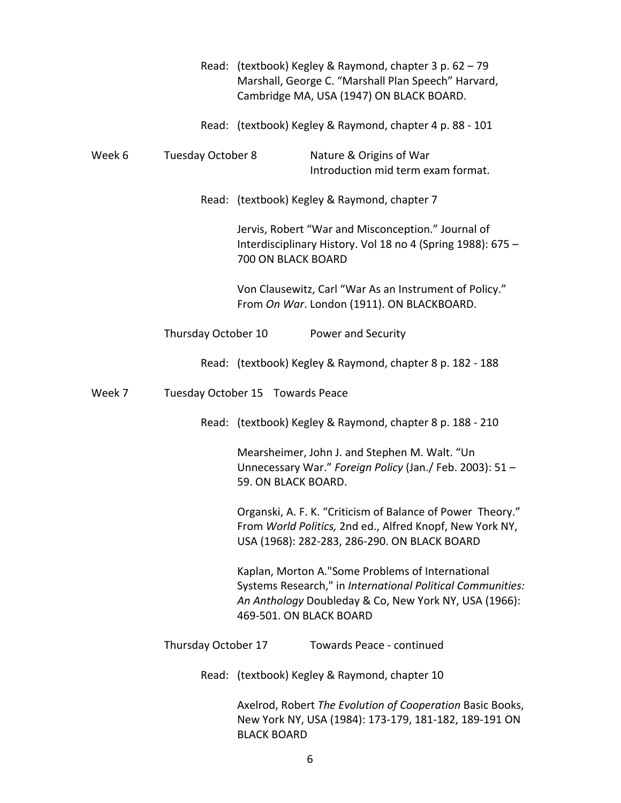|        |                     |                                  | Read: (textbook) Kegley & Raymond, chapter 3 p. 62 - 79<br>Marshall, George C. "Marshall Plan Speech" Harvard,<br>Cambridge MA, USA (1947) ON BLACK BOARD.              |
|--------|---------------------|----------------------------------|-------------------------------------------------------------------------------------------------------------------------------------------------------------------------|
|        |                     |                                  | Read: (textbook) Kegley & Raymond, chapter 4 p. 88 - 101                                                                                                                |
| Week 6 | Tuesday October 8   |                                  | Nature & Origins of War<br>Introduction mid term exam format.                                                                                                           |
|        |                     |                                  | Read: (textbook) Kegley & Raymond, chapter 7                                                                                                                            |
|        |                     | 700 ON BLACK BOARD               | Jervis, Robert "War and Misconception." Journal of<br>Interdisciplinary History. Vol 18 no 4 (Spring 1988): 675 -                                                       |
|        |                     |                                  | Von Clausewitz, Carl "War As an Instrument of Policy."<br>From On War. London (1911). ON BLACKBOARD.                                                                    |
|        | Thursday October 10 |                                  | Power and Security                                                                                                                                                      |
|        |                     |                                  | Read: (textbook) Kegley & Raymond, chapter 8 p. 182 - 188                                                                                                               |
| Week 7 |                     | Tuesday October 15 Towards Peace |                                                                                                                                                                         |
|        |                     |                                  | Read: (textbook) Kegley & Raymond, chapter 8 p. 188 - 210                                                                                                               |
|        |                     | 59. ON BLACK BOARD.              | Mearsheimer, John J. and Stephen M. Walt. "Un<br>Unnecessary War." Foreign Policy (Jan./ Feb. 2003): 51 -                                                               |
|        |                     |                                  | Organski, A. F. K. "Criticism of Balance of Power Theory."<br>From World Politics, 2nd ed., Alfred Knopf, New York NY,<br>USA (1968): 282-283, 286-290. ON BLACK BOARD  |
|        |                     | 469-501. ON BLACK BOARD          | Kaplan, Morton A."Some Problems of International<br>Systems Research," in International Political Communities:<br>An Anthology Doubleday & Co, New York NY, USA (1966): |
|        | Thursday October 17 |                                  | Towards Peace - continued                                                                                                                                               |
|        |                     |                                  | Read: (textbook) Kegley & Raymond, chapter 10                                                                                                                           |
|        |                     | <b>BLACK BOARD</b>               | Axelrod, Robert The Evolution of Cooperation Basic Books,<br>New York NY, USA (1984): 173-179, 181-182, 189-191 ON                                                      |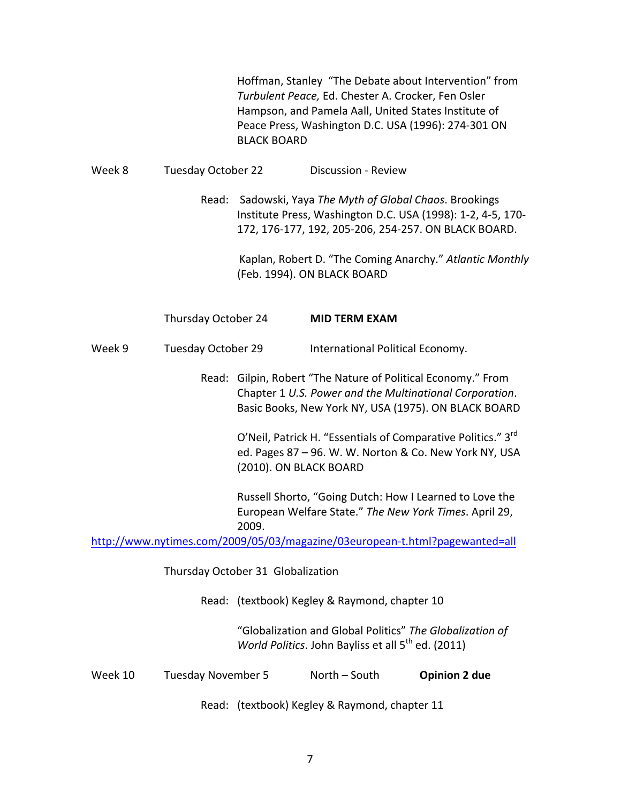|         |                                   | <b>BLACK BOARD</b>                                                                                                         | Hoffman, Stanley "The Debate about Intervention" from<br>Turbulent Peace, Ed. Chester A. Crocker, Fen Osler<br>Hampson, and Pamela Aall, United States Institute of<br>Peace Press, Washington D.C. USA (1996): 274-301 ON |                                                          |
|---------|-----------------------------------|----------------------------------------------------------------------------------------------------------------------------|----------------------------------------------------------------------------------------------------------------------------------------------------------------------------------------------------------------------------|----------------------------------------------------------|
| Week 8  | Tuesday October 22                | <b>Discussion - Review</b>                                                                                                 |                                                                                                                                                                                                                            |                                                          |
|         |                                   |                                                                                                                            | Read: Sadowski, Yaya The Myth of Global Chaos. Brookings<br>Institute Press, Washington D.C. USA (1998): 1-2, 4-5, 170-<br>172, 176-177, 192, 205-206, 254-257. ON BLACK BOARD.                                            |                                                          |
|         |                                   |                                                                                                                            | (Feb. 1994). ON BLACK BOARD                                                                                                                                                                                                | Kaplan, Robert D. "The Coming Anarchy." Atlantic Monthly |
|         | Thursday October 24               |                                                                                                                            | <b>MID TERM EXAM</b>                                                                                                                                                                                                       |                                                          |
| Week 9  | Tuesday October 29                |                                                                                                                            | International Political Economy.                                                                                                                                                                                           |                                                          |
|         |                                   |                                                                                                                            | Read: Gilpin, Robert "The Nature of Political Economy." From<br>Chapter 1 U.S. Power and the Multinational Corporation.<br>Basic Books, New York NY, USA (1975). ON BLACK BOARD                                            |                                                          |
|         |                                   | (2010). ON BLACK BOARD                                                                                                     | O'Neil, Patrick H. "Essentials of Comparative Politics." 3 <sup>rd</sup><br>ed. Pages 87 - 96. W. W. Norton & Co. New York NY, USA                                                                                         |                                                          |
|         |                                   | 2009.                                                                                                                      | Russell Shorto, "Going Dutch: How I Learned to Love the<br>European Welfare State." The New York Times. April 29,                                                                                                          |                                                          |
|         |                                   |                                                                                                                            | http://www.nytimes.com/2009/05/03/magazine/03european-t.html?pagewanted=all                                                                                                                                                |                                                          |
|         | Thursday October 31 Globalization |                                                                                                                            |                                                                                                                                                                                                                            |                                                          |
|         |                                   | Read: (textbook) Kegley & Raymond, chapter 10                                                                              |                                                                                                                                                                                                                            |                                                          |
|         |                                   | "Globalization and Global Politics" The Globalization of<br>World Politics. John Bayliss et all 5 <sup>th</sup> ed. (2011) |                                                                                                                                                                                                                            |                                                          |
| Week 10 | <b>Tuesday November 5</b>         |                                                                                                                            | North - South                                                                                                                                                                                                              | <b>Opinion 2 due</b>                                     |
|         |                                   |                                                                                                                            | Read: (textbook) Kegley & Raymond, chapter 11                                                                                                                                                                              |                                                          |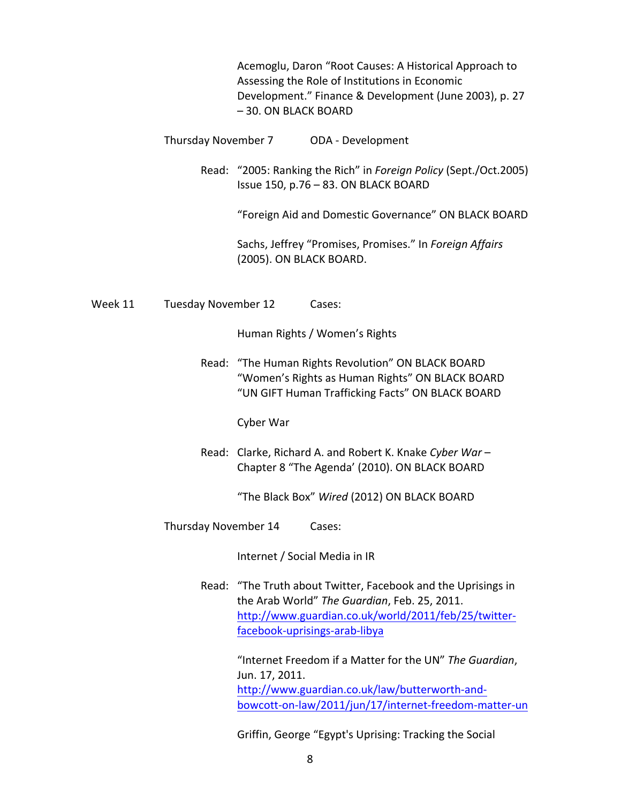Acemoglu, Daron "Root Causes: A Historical Approach to Assessing the Role of Institutions in Economic Development." Finance & Development (June 2003), p. 27 – 30. ON BLACK BOARD

Thursday November 7 ODA - Development

Read: "2005: Ranking the Rich" in *Foreign Policy* (Sept./Oct.2005) Issue 150, p.76 - 83. ON BLACK BOARD

"Foreign Aid and Domestic Governance" ON BLACK BOARD

Sachs, Jeffrey "Promises, Promises." In *Foreign Affairs* (2005). ON BLACK BOARD.

Week 11 Tuesday November 12 Cases:

Human Rights / Women's Rights

Read: "The Human Rights Revolution" ON BLACK BOARD "Women's Rights as Human Rights" ON BLACK BOARD "UN GIFT Human Trafficking Facts" ON BLACK BOARD

Cyber War

Read: Clarke, Richard A. and Robert K. Knake Cyber War-Chapter 8 "The Agenda' (2010). ON BLACK BOARD

"The Black Box" Wired (2012) ON BLACK BOARD

Thursday November 14 Cases:

Internet / Social Media in IR

Read: "The Truth about Twitter, Facebook and the Uprisings in the Arab World" The Guardian, Feb. 25, 2011. http://www.guardian.co.uk/world/2011/feb/25/twitterfacebook-uprisings-arab-libya

> "Internet Freedom if a Matter for the UN" The Guardian, Jun. 17, 2011. http://www.guardian.co.uk/law/butterworth-andbowcott-on-law/2011/jun/17/internet-freedom-matter-un

Griffin, George "Egypt's Uprising: Tracking the Social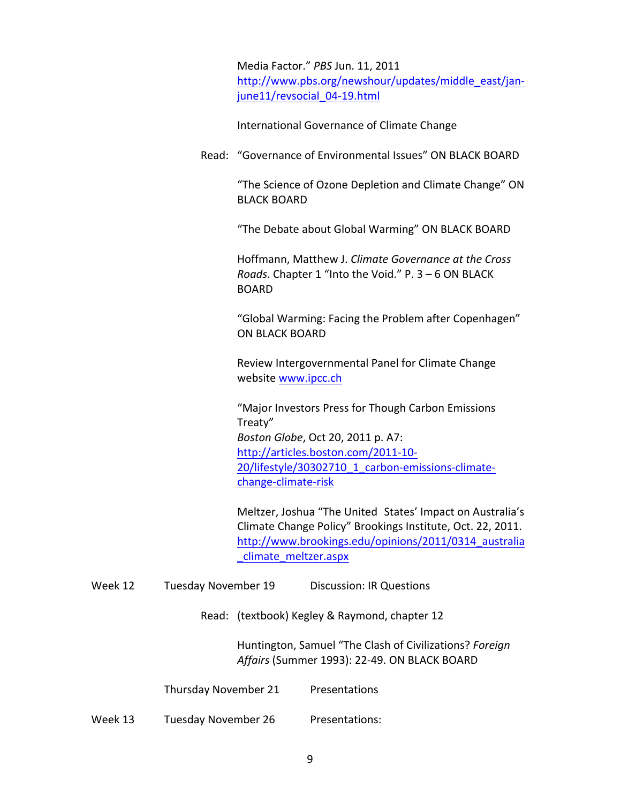Media Factor." *PBS* Jun. 11, 2011 http://www.pbs.org/newshour/updates/middle\_east/janjune11/revsocial 04-19.html

International Governance of Climate Change

Read: "Governance of Environmental Issues" ON BLACK BOARD

"The Science of Ozone Depletion and Climate Change" ON **BLACK BOARD** 

"The Debate about Global Warming" ON BLACK BOARD

Hoffmann, Matthew J. *Climate Governance at the Cross Roads*. Chapter 1 "Into the Void." P. 3 - 6 ON BLACK BOARD

"Global Warming: Facing the Problem after Copenhagen" ON BLACK BOARD

Review Intergovernmental Panel for Climate Change website www.ipcc.ch

"Major Investors Press for Though Carbon Emissions Treaty" *Boston Globe, Oct 20, 2011 p. A7:* http://articles.boston.com/2011-10- 20/lifestyle/30302710\_1\_carbon-emissions-climatechange-climate-risk

Meltzer, Joshua "The United States' Impact on Australia's Climate Change Policy" Brookings Institute, Oct. 22, 2011. http://www.brookings.edu/opinions/2011/0314\_australia \_climate\_meltzer.aspx

- Week 12 Tuesday November 19 Discussion: IR Questions
	- Read: (textbook) Kegley & Raymond, chapter 12

Huntington, Samuel "The Clash of Civilizations? *Foreign* Affairs (Summer 1993): 22-49. ON BLACK BOARD

Thursday November 21 Presentations

Week 13 Tuesday November 26 Presentations: